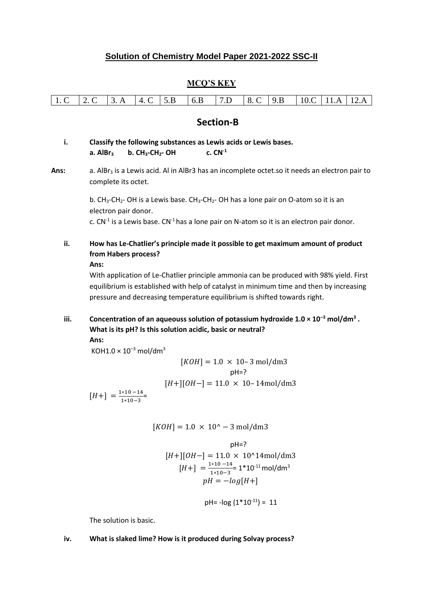# **Solution of Chemistry Model Paper 2021-2022 SSC-II**

## **MCQ'S KEY**

| 1. C                                             | 2.C                                                                                                                                                                   | 3.A | 4. C            | 5.B | 6.B | 7.D                                                                                     | 8. C | 9.B | 10.C | 11.A | 12.A |
|--------------------------------------------------|-----------------------------------------------------------------------------------------------------------------------------------------------------------------------|-----|-----------------|-----|-----|-----------------------------------------------------------------------------------------|------|-----|------|------|------|
|                                                  |                                                                                                                                                                       |     |                 |     |     |                                                                                         |      |     |      |      |      |
| <b>Section-B</b>                                 |                                                                                                                                                                       |     |                 |     |     |                                                                                         |      |     |      |      |      |
| i.                                               |                                                                                                                                                                       |     |                 |     |     | Classify the following substances as Lewis acids or Lewis bases.                        |      |     |      |      |      |
|                                                  | a. AlBr <sub>3</sub>                                                                                                                                                  |     | $b. CH3-CH2-OH$ |     |     | $c. CN-1$                                                                               |      |     |      |      |      |
| Ans:                                             |                                                                                                                                                                       |     |                 |     |     |                                                                                         |      |     |      |      |      |
|                                                  | a. AlBr <sub>3</sub> is a Lewis acid. Al in AlBr3 has an incomplete octet.so it needs an electron pair to<br>complete its octet.                                      |     |                 |     |     |                                                                                         |      |     |      |      |      |
|                                                  | b. CH <sub>3</sub> -CH <sub>2</sub> -OH is a Lewis base. CH <sub>3</sub> -CH <sub>2</sub> -OH has a lone pair on O-atom so it is an                                   |     |                 |     |     |                                                                                         |      |     |      |      |      |
|                                                  | electron pair donor.                                                                                                                                                  |     |                 |     |     |                                                                                         |      |     |      |      |      |
|                                                  | c. $CN^{-1}$ is a Lewis base. $CN^{-1}$ has a lone pair on N-atom so it is an electron pair donor.                                                                    |     |                 |     |     |                                                                                         |      |     |      |      |      |
|                                                  |                                                                                                                                                                       |     |                 |     |     |                                                                                         |      |     |      |      |      |
| ii.                                              | How has Le-Chatlier's principle made it possible to get maximum amount of product<br>from Habers process?                                                             |     |                 |     |     |                                                                                         |      |     |      |      |      |
|                                                  | Ans:<br>With application of Le-Chatlier principle ammonia can be produced with 98% yield. First                                                                       |     |                 |     |     |                                                                                         |      |     |      |      |      |
|                                                  |                                                                                                                                                                       |     |                 |     |     |                                                                                         |      |     |      |      |      |
|                                                  |                                                                                                                                                                       |     |                 |     |     | equilibrium is established with help of catalyst in minimum time and then by increasing |      |     |      |      |      |
|                                                  |                                                                                                                                                                       |     |                 |     |     | pressure and decreasing temperature equilibrium is shifted towards right.               |      |     |      |      |      |
| iii.                                             |                                                                                                                                                                       |     |                 |     |     |                                                                                         |      |     |      |      |      |
|                                                  | Concentration of an aqueouss solution of potassium hydroxide $1.0 \times 10^{-3}$ mol/dm <sup>3</sup> .<br>What is its pH? Is this solution acidic, basic or neutral? |     |                 |     |     |                                                                                         |      |     |      |      |      |
|                                                  | Ans:<br>KOH $1.0 \times 10^{-3}$ mol/dm <sup>3</sup>                                                                                                                  |     |                 |     |     |                                                                                         |      |     |      |      |      |
|                                                  |                                                                                                                                                                       |     |                 |     |     | $[KOH] = 1.0 \times 10 - 3$ mol/dm3                                                     |      |     |      |      |      |
|                                                  |                                                                                                                                                                       |     |                 |     |     | $pH = ?$                                                                                |      |     |      |      |      |
|                                                  |                                                                                                                                                                       |     |                 |     |     | $[H+][OH-] = 11.0 \times 10 - 14 \text{mol/dm3}$                                        |      |     |      |      |      |
|                                                  | $[H+] = \frac{1*10-14}{1*10-3}$                                                                                                                                       |     |                 |     |     |                                                                                         |      |     |      |      |      |
|                                                  |                                                                                                                                                                       |     |                 |     |     |                                                                                         |      |     |      |      |      |
| $[KOH] = 1.0 \times 10^{6} - 3$ mol/dm3          |                                                                                                                                                                       |     |                 |     |     |                                                                                         |      |     |      |      |      |
| $pH = ?$                                         |                                                                                                                                                                       |     |                 |     |     |                                                                                         |      |     |      |      |      |
| $[H+][OH-] = 11.0 \times 10^{4}4 \text{mol/dm3}$ |                                                                                                                                                                       |     |                 |     |     |                                                                                         |      |     |      |      |      |
|                                                  | $[H+] = \frac{1*10-14}{1*10-3} = 1*10^{-11}$ mol/dm <sup>3</sup>                                                                                                      |     |                 |     |     |                                                                                         |      |     |      |      |      |
|                                                  | $pH = -log[H+]$                                                                                                                                                       |     |                 |     |     |                                                                                         |      |     |      |      |      |

pH=  $-log (1 * 10<sup>-11</sup>) = 11$ 

The solution is basic.

### **iv. What is slaked lime? How is it produced during Solvay process?**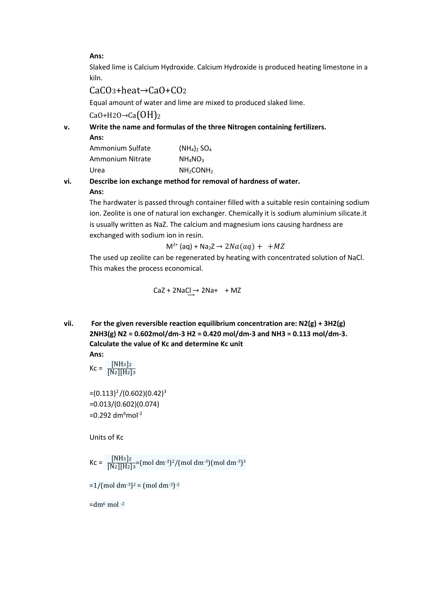#### **Ans:**

Slaked lime is Calcium Hydroxide. Calcium Hydroxide is produced heating limestone in a kiln.

### CaCO3+heat→CaO+CO2

Equal amount of water and lime are mixed to produced slaked lime.

CaO+H2O→Ca(OH)<sub>2</sub>

**v. Write the name and formulas of the three Nitrogen containing fertilizers. Ans:**

| Ammonium Sulfate | $(NH_4)_2 SO_4$         |
|------------------|-------------------------|
| Ammonium Nitrate | $NH_4NO_3$              |
| Urea             | $NH2$ CONH <sub>2</sub> |

**vi. Describe ion exchange method for removal of hardness of water. Ans:**

> The hardwater is passed through container filled with a suitable resin containing sodium ion. Zeolite is one of natural ion exchanger. Chemically it is sodium aluminium silicate.it is usually written as NaZ. The calcium and magnesium ions causing hardness are exchanged with sodium ion in resin.

> > $M^{2+}$  (aq) + Na<sub>2</sub>Z  $\rightarrow$  2Na(aq) + + MZ

The used up zeolite can be regenerated by heating with concentrated solution of NaCl. This makes the process economical.

 $CaZ + 2NaCl \rightarrow 2Na+$  + MZ

**vii. For the given reversible reaction equilibrium concentration are: N2(g) + 3H2(g) 2NH3(g) N2 = 0.602mol/dm-3 H2 = 0.420 mol/dm-3 and NH3 = 0.113 mol/dm-3. Calculate the value of Kc and determine Kc unit Ans:**

$$
Kc = \frac{[NH_3]_2}{[N_2][H_2]_3}
$$

 $=(0.113)^2/(0.602)(0.42)^3$ =0.013/(0.602)(0.074)  $=0.292$  dm<sup>6</sup>mol<sup>-2</sup>

Units of Kc

$$
Kc = \frac{[NH_3]_2}{[N_2][H_2]_3} = (mol dm^{-3})^2/(mol dm^{-3})(mol dm^{-3})^3
$$

 $=1/(mol dm^{-3})^2 = (mol dm^{-3})^{-2}$ 

 $=$ dm<sup>6</sup> mol  $-2$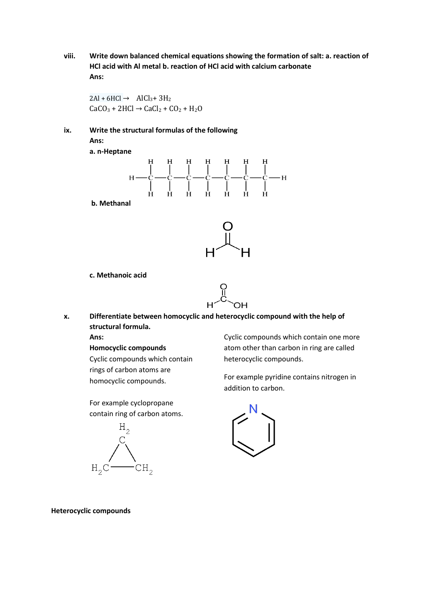**viii. Write down balanced chemical equations showing the formation of salt: a. reaction of HCl acid with Al metal b. reaction of HCl acid with calcium carbonate Ans:**

 $2\text{Al} + 6\text{HCl} \rightarrow \text{AlCl}_3 + 3\text{H}_2$  $CaCO<sub>3</sub> + 2HCl \rightarrow CaCl<sub>2</sub> + CO<sub>2</sub> + H<sub>2</sub>O$ 

### **ix. Write the structural formulas of the following**

**Ans:**

**a. n-Heptane**



**b. Methanal** 



**c. Methanoic acid**



**x. Differentiate between homocyclic and heterocyclic compound with the help of structural formula.**

**Ans:**

**Homocyclic compounds** Cyclic compounds which contain rings of carbon atoms are homocyclic compounds.

For example cyclopropane contain ring of carbon atoms.



Cyclic compounds which contain one more atom other than carbon in ring are called heterocyclic compounds.

For example pyridine contains nitrogen in addition to carbon.



**Heterocyclic compounds**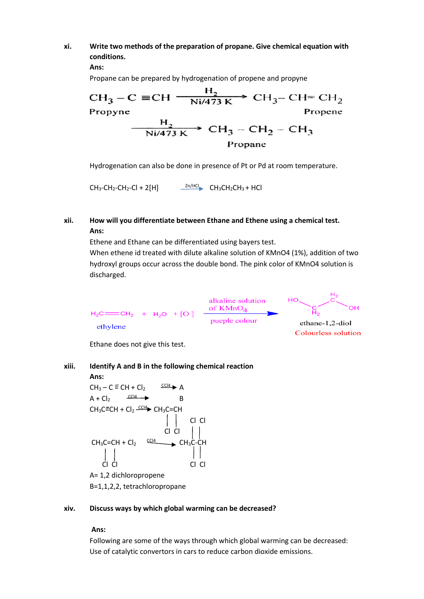#### **xi. Write two methods of the preparation of propane. Give chemical equation with conditions.**

**Ans:**

Propane can be prepared by hydrogenation of propene and propyne

CH<sub>3</sub> – C 
$$
\equiv
$$
CH  $\xrightarrow[Ni/473 K]$  CH<sub>3</sub>– CH $\equiv$  CH<sub>2</sub>  
Propyne  
 $\xrightarrow[Ni/473 K]$ CH<sub>3</sub>– CH<sub>2</sub> – CH<sub>3</sub>  
Propane

Hydrogenation can also be done in presence of Pt or Pd at room temperature.

 $CH_3$ -CH<sub>2</sub>-CH<sub>2</sub>-Cl + 2[H]  $2n/HC$  CH<sub>3</sub>CH<sub>2</sub>CH<sub>3</sub> + HCl

### **xii. How will you differentiate between Ethane and Ethene using a chemical test. Ans:**

Ethene and Ethane can be differentiated using bayers test.

When ethene id treated with dilute alkaline solution of KMnO4 (1%), addition of two hydroxyl groups occur across the double bond. The pink color of KMnO4 solution is discharged.

$$
H_2C = CH_2 + H_2O + [O]
$$
  
atklaline solution  
of KMnO<sub>4</sub>  
pureple colour  
ethane-1,2-diol  
Colourless solution

Ethane does not give this test.

**xiii. Identify A and B in the following chemical reaction**

**Ans:** CH<sup>3</sup> – C = CH + Cl<sup>2</sup> CCl4 A A + Cl<sup>2</sup> CCl4 B CH3C=CH + Cl<sup>2</sup> CCl4 CH3C=CH Cl Cl Cl Cl CH3C=CH + Cl<sup>2</sup> CCl4 CH3C-CH Cl Cl Cl Cl A= 1,2 dichloropropene B=1,1,2,2, tetrachloropropane

#### **xiv. Discuss ways by which global warming can be decreased?**

#### **Ans:**

Following are some of the ways through which global warming can be decreased: Use of catalytic convertors in cars to reduce carbon dioxide emissions.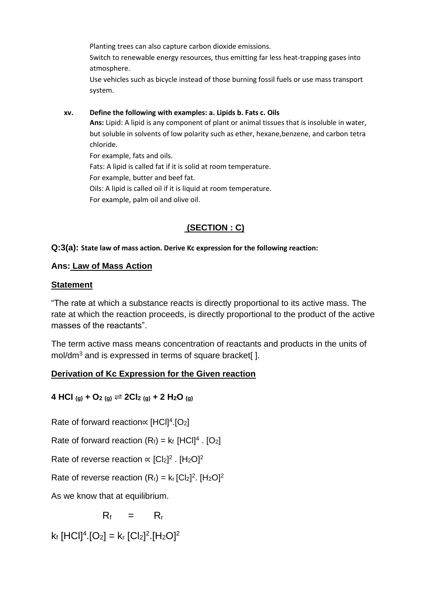Planting trees can also capture carbon dioxide emissions.

Switch to renewable energy resources, thus emitting far less heat-trapping gases into atmosphere.

Use vehicles such as bicycle instead of those burning fossil fuels or use mass transport system.

## **xv. Define the following with examples: a. Lipids b. Fats c. Oils Ans:** Lipid: A lipid is any component of plant or animal tissues that is insoluble in water, but soluble in solvents of low polarity such as ether, hexane,benzene, and carbon tetra

chloride. For example, fats and oils. Fats: A lipid is called fat if it is solid at room temperature. For example, butter and beef fat. Oils: A lipid is called oil if it is liquid at room temperature. For example, palm oil and olive oil.

# **(SECTION : C)**

# **Q:3(a): State law of mass action. Derive Kc expression for the following reaction:**

# **Ans: Law of Mass Action**

# **Statement**

"The rate at which a substance reacts is directly proportional to its active mass. The rate at which the reaction proceeds, is directly proportional to the product of the active masses of the reactants".

The term active mass means concentration of reactants and products in the units of mol/dm<sup>3</sup> and is expressed in terms of square bracket[].

# **Derivation of Kc Expression for the Given reaction**

**4 HCI (g) + O<sup>2</sup> (g)** ⇌ **2Cl<sup>2</sup> (g) + 2 H2O (g)**

Rate of forward reaction $\propto$  [HCl]<sup>4</sup>. [O<sub>2</sub>]

Rate of forward reaction  $(R_f) = k_f$  [HCI]<sup>4</sup> . [O<sub>2</sub>]

Rate of reverse reaction  $\propto$  [Cl<sub>2</sub>]<sup>2</sup> . [H<sub>2</sub>O]<sup>2</sup>

Rate of reverse reaction  $(R_r) = k_r [Cl_2]^2$ .  $[H_2O]^2$ 

As we know that at equilibrium.

$$
R_f = R_r
$$

 $k_f$  [HCl]<sup>4</sup>.[O<sub>2</sub>] =  $k_f$  [Cl<sub>2</sub>]<sup>2</sup>.[H<sub>2</sub>O]<sup>2</sup>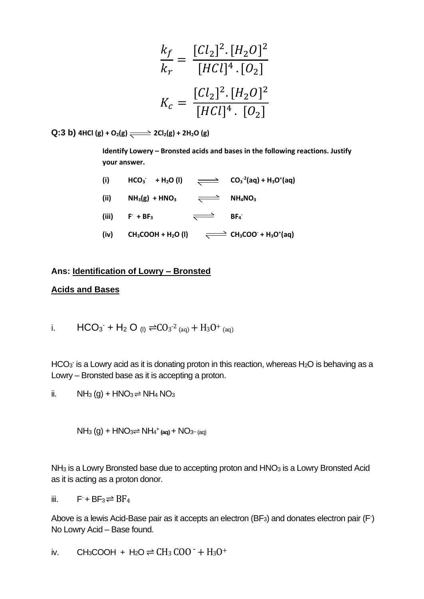$$
\frac{k_f}{k_r} = \frac{[Cl_2]^2 \cdot [H_2O]^2}{[HCl]^4 \cdot [O_2]}
$$

$$
K_c = \frac{[Cl_2]^2 \cdot [H_2O]^2}{[HCl]^4 \cdot [O_2]}
$$

**Q:3 b)**  $4HCl$  (g)  $+ O_2(g) \rightleftharpoons 2Cl_2(g) + 2H_2O(g)$ 

**Identify Lowery – Bronsted acids and bases in the following reactions. Justify your answer.**

| (i) | $HCO3$ + H <sub>2</sub> O (I) | $\overline{\phantom{a}}$ $CO_3^{-2}$ (aq) + H <sub>3</sub> O <sup>+</sup> (aq) |
|-----|-------------------------------|--------------------------------------------------------------------------------|
|     |                               |                                                                                |

 $(iii)$  **NH**<sub>3</sub> $(g)$  + HNO<sub>3</sub>  $\xrightarrow{\longrightarrow}$  **NH**<sub>4</sub>NO<sub>3</sub>

- (iii) **F** + BF<sub>3</sub> **bF<sub>4</sub>**
- $\bullet$  **CH**<sub>3</sub>**COOH** + **H**<sub>2</sub>**O** (l)  $\bullet$   $\bullet$  **CH**<sub>3</sub>**COO**<sup> $\cdot$ </sup> + **H**<sub>3</sub>**O**<sup> $\circ$ </sup>(aq)

### **Ans: Identification of Lowry – Bronsted**

#### **Acids and Bases**

i. HCO<sub>3</sub><sup>-</sup> + H<sub>2</sub> O <sub>(I)</sub> 
$$
\rightleftharpoons
$$
 CO<sub>3</sub><sup>-2</sup> <sub>(aq)</sub> + H<sub>3</sub>O<sup>+</sup> <sub>(aq)</sub>

HCO<sub>3</sub> is a Lowry acid as it is donating proton in this reaction, whereas H<sub>2</sub>O is behaving as a Lowry – Bronsted base as it is accepting a proton.

ii.  $NH_3(q) + HNO_3 \rightleftharpoons NH_4 NO_3$ 

 $NH_3$  (g) +  $HNO_3 \rightleftharpoons NH_4^+$  (aq) +  $NO_3^-$  (aq)

NH<sub>3</sub> is a Lowry Bronsted base due to accepting proton and HNO<sub>3</sub> is a Lowry Bronsted Acid as it is acting as a proton donor.

iii. 
$$
F + BF_3 \rightleftharpoons BF_4
$$

Above is a lewis Acid-Base pair as it accepts an electron  $(BF_3)$  and donates electron pair  $(F)$ No Lowry Acid – Base found.

iv. CH<sub>3</sub>COOH + H<sub>2</sub>O 
$$
\rightleftharpoons
$$
 CH<sub>3</sub> COO<sup>-</sup> + H<sub>3</sub>O<sup>+</sup>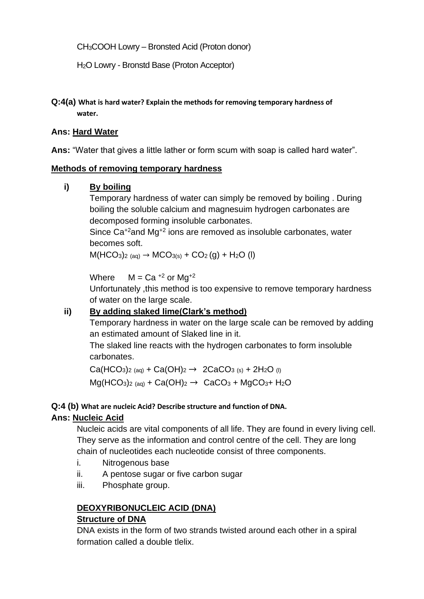CH3COOH Lowry – Bronsted Acid (Proton donor)

H2O Lowry - Bronstd Base (Proton Acceptor)

## **Q:4(a) What is hard water? Explain the methods for removing temporary hardness of water.**

### **Ans: Hard Water**

**Ans:** "Water that gives a little lather or form scum with soap is called hard water".

## **Methods of removing temporary hardness**

# **i) By boiling**

Temporary hardness of water can simply be removed by boiling . During boiling the soluble calcium and magnesuim hydrogen carbonates are decomposed forming insoluble carbonates.

Since Ca+2and Mg+2 ions are removed as insoluble carbonates, water becomes soft.

 $M(HCO_3)_2$  (aq)  $\rightarrow MCO_{3(s)} + CO_2$  (g) + H<sub>2</sub>O (l)

Where  $M = Ca^{+2}$  or  $Ma^{+2}$ 

Unfortunately ,this method is too expensive to remove temporary hardness of water on the large scale.

# **ii) By adding slaked lime(Clark's method)**

Temporary hardness in water on the large scale can be removed by adding an estimated amount of Slaked line in it.

The slaked line reacts with the hydrogen carbonates to form insoluble carbonates.

 $Ca(HCO_3)_2$  (aq) + Ca(OH)<sub>2</sub>  $\rightarrow$  2CaCO<sub>3 (s)</sub> + 2H<sub>2</sub>O (l)  $Mg(HCO<sub>3</sub>)<sub>2 (aq)</sub> + Ca(OH)<sub>2</sub> \rightarrow CaCO<sub>3</sub> + MgCO<sub>3</sub>+H<sub>2</sub>O$ 

# **Q:4 (b) What are nucleic Acid? Describe structure and function of DNA.**

# **Ans: Nucleic Acid**

Nucleic acids are vital components of all life. They are found in every living cell. They serve as the information and control centre of the cell. They are long chain of nucleotides each nucleotide consist of three components.

- i. Nitrogenous base
- ii. A pentose sugar or five carbon sugar
- iii. Phosphate group.

# **DEOXYRIBONUCLEIC ACID (DNA) Structure of DNA**

DNA exists in the form of two strands twisted around each other in a spiral formation called a double tlelix.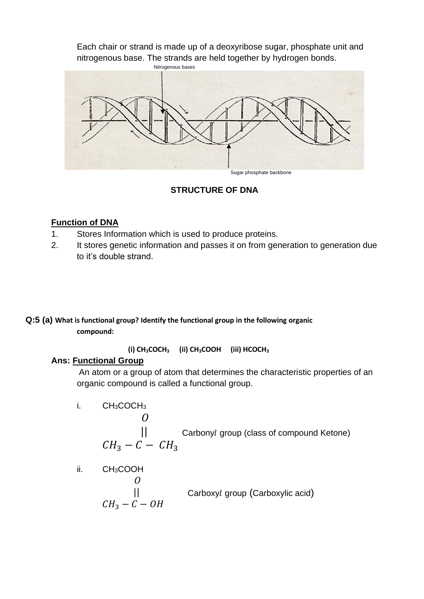Each chair or strand is made up of a deoxyribose sugar, phosphate unit and nitrogenous base. The strands are held together by hydrogen bonds.



# **STRUCTURE OF DNA**

## **Function of DNA**

- 1. Stores Information which is used to produce proteins.
- 2. It stores genetic information and passes it on from generation to generation due to it's double strand.

### **Q:5 (a) What is functional group? Identify the functional group in the following organic compound:**

**(i) CH3COCH<sup>3</sup> (ii) CH3COOH (iii) HCOCH<sup>3</sup>**

## **Ans: Functional Group**

An atom or a group of atom that determines the characteristic properties of an organic compound is called a functional group.

i. CH<sub>3</sub>COCH<sub>3</sub>  
\n*O*  
\n
$$
CH_3 - C - CH_3
$$
  
\nii. CH<sub>3</sub>COOH

*O*  
 
$$
||
$$
 **Carboxyl group (Carboxylic acid)**  
  $CH_3 - C - OH$